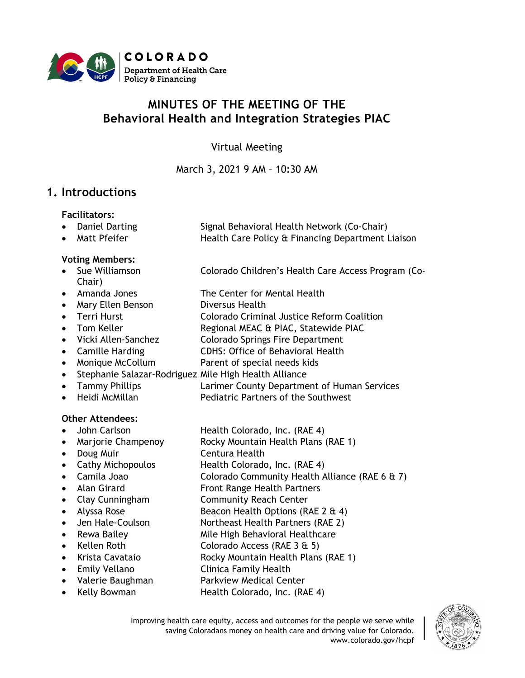

# **MINUTES OF THE MEETING OF THE Behavioral Health and Integration Strategies PIAC**

Virtual Meeting

March 3, 2021 9 AM – 10:30 AM

### **1. Introductions**

#### **Facilitators:**

- Daniel Darting Signal Behavioral Health Network (Co-Chair)
- Matt Pfeifer **Health Care Policy & Financing Department Liaison**

#### **Voting Members:**

- Sue Williamson Colorado Children's Health Care Access Program (Co-Chair)
- Amanda Jones The Center for Mental Health
- Mary Ellen Benson Diversus Health
- Terri Hurst Colorado Criminal Justice Reform Coalition
- Tom Keller Regional MEAC & PIAC, Statewide PIAC
- Vicki Allen-Sanchez Colorado Springs Fire Department
- Camille Harding CDHS: Office of Behavioral Health
- Monique McCollum Parent of special needs kids
- Stephanie Salazar-Rodriguez Mile High Health Alliance
- Tammy Phillips **Larimer County Department of Human Services**
- Heidi McMillan **Pediatric Partners of the Southwest**

#### **Other Attendees:**

- John Carlson Health Colorado, Inc. (RAE 4)
- Marjorie Champenoy Rocky Mountain Health Plans (RAE 1)
- Doug Muir Centura Health
- Cathy Michopoulos Health Colorado, Inc. (RAE 4)
- Camila Joao Colorado Community Health Alliance (RAE 6 & 7)
- Alan Girard **Front Range Health Partners**
- 
- 
- 
- 
- 
- 
- 
- 
- Clay Cunningham Community Reach Center • Alyssa Rose Beacon Health Options (RAE 2  $\&$  4)
	- Jen Hale-Coulson Northeast Health Partners (RAE 2)
- Rewa Bailey Mile High Behavioral Healthcare
- Kellen Roth Colorado Access (RAE 3 & 5)
- Krista Cavataio Rocky Mountain Health Plans (RAE 1)
- Emily Vellano Clinica Family Health
- Valerie Baughman Parkview Medical Center
	- Kelly Bowman Health Colorado, Inc. (RAE 4)

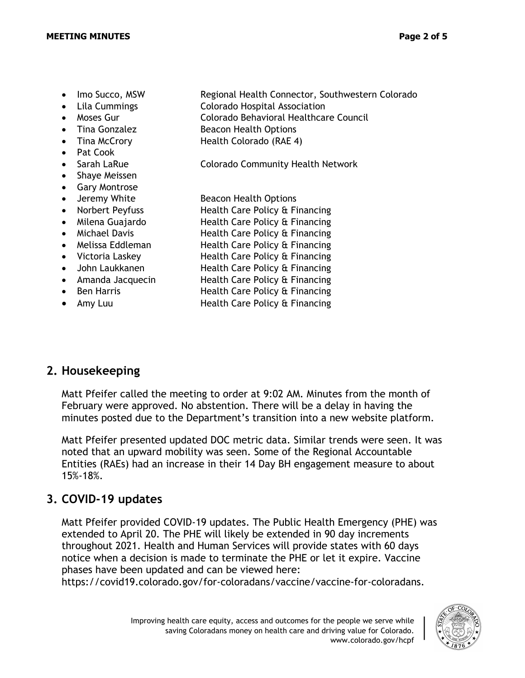- 
- Imo Succo, MSW Regional Health Connector, Southwestern Colorado • Lila Cummings Colorado Hospital Association
- Moses Gur Colorado Behavioral Healthcare Council
- Tina Gonzalez Beacon Health Options
- 
- Pat Cook
- 
- Shaye Meissen
- Gary Montrose
- 
- 
- 
- 
- 
- 
- 
- 
- 
- 

• Tina McCrory **Health Colorado (RAE 4)** 

• Sarah LaRue **Colorado Community Health Network** 

• Jeremy White Beacon Health Options

• Norbert Peyfuss Health Care Policy & Financing

- Milena Guajardo **Health Care Policy & Financing**
- Michael Davis **Health Care Policy & Financing**
- Melissa Eddleman Health Care Policy & Financing
- Victoria Laskey Health Care Policy & Financing
- John Laukkanen Health Care Policy & Financing
- Amanda Jacquecin Health Care Policy & Financing
- Ben Harris **Health Care Policy & Financing**
- Amy Luu Health Care Policy & Financing

# **2. Housekeeping**

Matt Pfeifer called the meeting to order at 9:02 AM. Minutes from the month of February were approved. No abstention. There will be a delay in having the minutes posted due to the Department's transition into a new website platform.

Matt Pfeifer presented updated DOC metric data. Similar trends were seen. It was noted that an upward mobility was seen. Some of the Regional Accountable Entities (RAEs) had an increase in their 14 Day BH engagement measure to about 15%-18%.

# **3. COVID-19 updates**

Matt Pfeifer provided COVID-19 updates. The Public Health Emergency (PHE) was extended to April 20. The PHE will likely be extended in 90 day increments throughout 2021. Health and Human Services will provide states with 60 days notice when a decision is made to terminate the PHE or let it expire. Vaccine phases have been updated and can be viewed here:

https://covid19.colorado.gov/for-coloradans/vaccine/vaccine-for-coloradans.

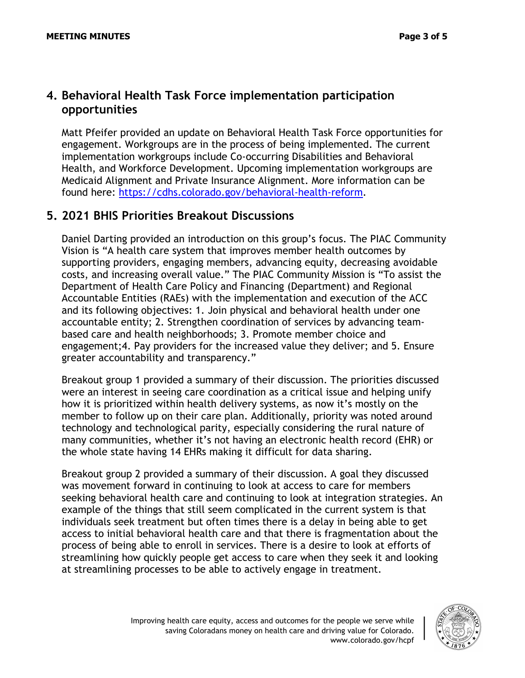### **4. Behavioral Health Task Force implementation participation opportunities**

Matt Pfeifer provided an update on Behavioral Health Task Force opportunities for engagement. Workgroups are in the process of being implemented. The current implementation workgroups include Co-occurring Disabilities and Behavioral Health, and Workforce Development. Upcoming implementation workgroups are Medicaid Alignment and Private Insurance Alignment. More information can be found here: [https://cdhs.colorado.gov/behavioral-health-reform.](https://cdhs.colorado.gov/behavioral-health-reform)

### **5. 2021 BHIS Priorities Breakout Discussions**

Daniel Darting provided an introduction on this group's focus. The PIAC Community Vision is "A health care system that improves member health outcomes by supporting providers, engaging members, advancing equity, decreasing avoidable costs, and increasing overall value." The PIAC Community Mission is "To assist the Department of Health Care Policy and Financing (Department) and Regional Accountable Entities (RAEs) with the implementation and execution of the ACC and its following objectives: 1. Join physical and behavioral health under one accountable entity; 2. Strengthen coordination of services by advancing teambased care and health neighborhoods; 3. Promote member choice and engagement;4. Pay providers for the increased value they deliver; and 5. Ensure greater accountability and transparency."

Breakout group 1 provided a summary of their discussion. The priorities discussed were an interest in seeing care coordination as a critical issue and helping unify how it is prioritized within health delivery systems, as now it's mostly on the member to follow up on their care plan. Additionally, priority was noted around technology and technological parity, especially considering the rural nature of many communities, whether it's not having an electronic health record (EHR) or the whole state having 14 EHRs making it difficult for data sharing.

Breakout group 2 provided a summary of their discussion. A goal they discussed was movement forward in continuing to look at access to care for members seeking behavioral health care and continuing to look at integration strategies. An example of the things that still seem complicated in the current system is that individuals seek treatment but often times there is a delay in being able to get access to initial behavioral health care and that there is fragmentation about the process of being able to enroll in services. There is a desire to look at efforts of streamlining how quickly people get access to care when they seek it and looking at streamlining processes to be able to actively engage in treatment.

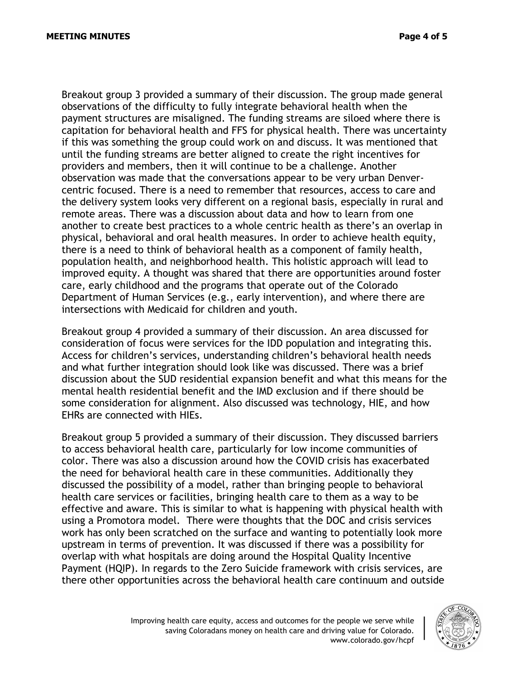Breakout group 3 provided a summary of their discussion. The group made general observations of the difficulty to fully integrate behavioral health when the payment structures are misaligned. The funding streams are siloed where there is capitation for behavioral health and FFS for physical health. There was uncertainty if this was something the group could work on and discuss. It was mentioned that until the funding streams are better aligned to create the right incentives for providers and members, then it will continue to be a challenge. Another observation was made that the conversations appear to be very urban Denvercentric focused. There is a need to remember that resources, access to care and the delivery system looks very different on a regional basis, especially in rural and remote areas. There was a discussion about data and how to learn from one another to create best practices to a whole centric health as there's an overlap in physical, behavioral and oral health measures. In order to achieve health equity, there is a need to think of behavioral health as a component of family health, population health, and neighborhood health. This holistic approach will lead to improved equity. A thought was shared that there are opportunities around foster care, early childhood and the programs that operate out of the Colorado Department of Human Services (e.g., early intervention), and where there are intersections with Medicaid for children and youth.

Breakout group 4 provided a summary of their discussion. An area discussed for consideration of focus were services for the IDD population and integrating this. Access for children's services, understanding children's behavioral health needs and what further integration should look like was discussed. There was a brief discussion about the SUD residential expansion benefit and what this means for the mental health residential benefit and the IMD exclusion and if there should be some consideration for alignment. Also discussed was technology, HIE, and how EHRs are connected with HIEs.

Breakout group 5 provided a summary of their discussion. They discussed barriers to access behavioral health care, particularly for low income communities of color. There was also a discussion around how the COVID crisis has exacerbated the need for behavioral health care in these communities. Additionally they discussed the possibility of a model, rather than bringing people to behavioral health care services or facilities, bringing health care to them as a way to be effective and aware. This is similar to what is happening with physical health with using a Promotora model. There were thoughts that the DOC and crisis services work has only been scratched on the surface and wanting to potentially look more upstream in terms of prevention. It was discussed if there was a possibility for overlap with what hospitals are doing around the Hospital Quality Incentive Payment (HQIP). In regards to the Zero Suicide framework with crisis services, are there other opportunities across the behavioral health care continuum and outside